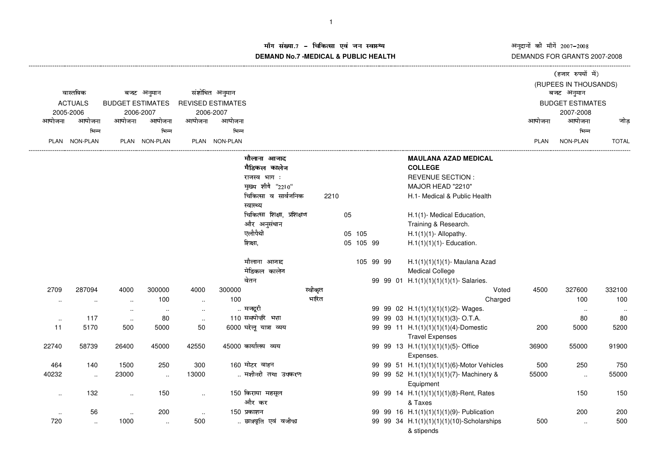अनुदानों की माँगें 2007–2008<br>DEMANDS FOR GRANTS 2007-2008

## म संख्या.7 – चिकित्सा एवं जन स्वास्थ्य<br>IAND N- 7 MEDIOAL 8 DUDLIO UEALTIL **DEMAND No.7 -MEDICAL & PUBLIC HEALTH**

|           |                |                         |                      |                          |                |                                   |         |    |           |  |                                                                |        | (हजार रुपयों में)       |                      |
|-----------|----------------|-------------------------|----------------------|--------------------------|----------------|-----------------------------------|---------|----|-----------|--|----------------------------------------------------------------|--------|-------------------------|----------------------|
|           |                |                         |                      |                          |                |                                   |         |    |           |  |                                                                |        | (RUPEES IN THOUSANDS)   |                      |
|           | वास्तविक       |                         | बजट अनुमान           |                          | संशोधित अनुमान |                                   |         |    |           |  |                                                                |        | बजट अनुमान              |                      |
|           | <b>ACTUALS</b> | <b>BUDGET ESTIMATES</b> |                      | <b>REVISED ESTIMATES</b> |                |                                   |         |    |           |  |                                                                |        | <b>BUDGET ESTIMATES</b> |                      |
|           | 2005-2006      |                         | 2006-2007            |                          | 2006-2007      |                                   |         |    |           |  |                                                                |        | 2007-2008               |                      |
| आयोजना    | आयोजना         | आयोजना                  | आयोजना               | आयोजना                   | आयोजना         |                                   |         |    |           |  |                                                                | आयोजना | आयोजना                  | जोड                  |
|           | भिन्न          |                         | भिन्न                |                          | भिन्न          |                                   |         |    |           |  |                                                                |        | भिन्न                   |                      |
|           | PLAN NON-PLAN  |                         | PLAN NON-PLAN        |                          | PLAN NON-PLAN  |                                   |         |    |           |  |                                                                | PLAN   | NON-PLAN                | <b>TOTAL</b>         |
|           |                |                         |                      |                          |                | मौलाना आजाद                       |         |    |           |  | <b>MAULANA AZAD MEDICAL</b>                                    |        |                         |                      |
|           |                |                         |                      |                          |                | मैडिकल कालेज                      |         |    |           |  | <b>COLLEGE</b>                                                 |        |                         |                      |
|           |                |                         |                      |                          |                | राजस्व भाग:                       |         |    |           |  | <b>REVENUE SECTION:</b>                                        |        |                         |                      |
|           |                |                         |                      |                          |                | मुख्य शीषै "2210"                 |         |    |           |  | MAJOR HEAD "2210"                                              |        |                         |                      |
|           |                |                         |                      |                          |                | चिकित्सा व सार्वजनिक<br>स्वास्थ्य | 2210    |    |           |  | H.1- Medical & Public Health                                   |        |                         |                      |
|           |                |                         |                      |                          |                | चिकित्सा शिक्षा, प्रशिक्षण        |         | 05 |           |  | H.1(1)- Medical Education,                                     |        |                         |                      |
|           |                |                         |                      |                          |                | और अनुसंधान                       |         |    |           |  | Training & Research.                                           |        |                         |                      |
|           |                |                         |                      |                          |                | एलौपैथी                           |         |    | 05 105    |  | $H.1(1)(1)$ - Allopathy.                                       |        |                         |                      |
|           |                |                         |                      |                          |                | शिक्षा,                           |         |    | 05 105 99 |  | $H.1(1)(1)(1)$ - Education.                                    |        |                         |                      |
|           |                |                         |                      |                          |                | मौलाना आजाद                       |         |    | 105 99 99 |  | H.1(1)(1)(1)(1)- Maulana Azad                                  |        |                         |                      |
|           |                |                         |                      |                          |                | मेडिकल कालेज                      |         |    |           |  | <b>Medical College</b>                                         |        |                         |                      |
|           |                |                         |                      |                          |                | वेतन                              |         |    |           |  | 99 99 01 H.1(1)(1)(1)(1)(1)- Salaries.                         |        |                         |                      |
| 2709      | 287094         | 4000                    | 300000               | 4000                     | 300000         |                                   | स्वीकृत |    |           |  | Voted                                                          | 4500   | 327600                  | 332100               |
| $\cdots$  | $\sim$         | $\ddot{\phantom{a}}$    | 100                  | $\ddotsc$                | 100            |                                   | भारित   |    |           |  | Charged                                                        |        | 100                     | 100                  |
|           |                | $\sim$                  | $\ddotsc$            | $\ddotsc$                |                | मजदूरी                            |         |    |           |  | 99 99 02 H.1(1)(1)(1)(1)(2)- Wages.                            |        | $\sim$                  | $\ddot{\phantom{1}}$ |
| $\sim$    | 117            | $\cdot$ .               | 80                   | $\sim$                   |                | 110 समयोपरि भत्ता                 |         |    |           |  | 99 99 03 H.1(1)(1)(1)(1)(3)-O.T.A.                             |        | 80                      | 80                   |
| 11        | 5170           | 500                     | 5000                 | 50                       |                | 6000 घरेलू यात्रा व्यय            |         |    |           |  | 99 99 11 H.1(1)(1)(1)(1)(4)-Domestic<br><b>Travel Expenses</b> | 200    | 5000                    | 5200                 |
| 22740     | 58739          | 26400                   | 45000                | 42550                    |                | 45000 कार्यालय व्यय               |         |    |           |  | 99 99 13 H.1(1)(1)(1)(1)(5)-Office                             | 36900  | 55000                   | 91900                |
|           |                |                         |                      |                          |                |                                   |         |    |           |  | Expenses.                                                      |        |                         |                      |
| 464       | 140            | 1500                    | 250                  | 300                      |                | 160 मोटर वाहन                     |         |    |           |  | 99 99 51 H.1(1)(1)(1)(1)(6)-Motor Vehicles                     | 500    | 250                     | 750                  |
| 40232     | $\ddotsc$      | 23000                   | $\ddot{\phantom{1}}$ | 13000                    |                | मशीनरी तथा उपकरण                  |         |    |           |  | 99 99 52 H.1(1)(1)(1)(1)(7)- Machinery &                       | 55000  | $\ldots$                | 55000                |
|           |                |                         |                      |                          |                |                                   |         |    |           |  | Equipment                                                      |        |                         |                      |
| $\sim$    | 132            | $\sim$                  | 150                  | $\ddot{\phantom{a}}$     |                | 150 किराया महसूल                  |         |    |           |  | 99 99 14 H.1(1)(1)(1)(1)(8)-Rent, Rates                        |        | 150                     | 150                  |
|           |                |                         |                      |                          |                | और कर                             |         |    |           |  | & Taxes                                                        |        |                         |                      |
| $\ddotsc$ | 56             | $\ddotsc$               | 200                  | $\sim$                   |                | 150 प्रकाशन                       |         |    |           |  | 99 99 16 H.1(1)(1)(1)(1)(9)- Publication                       |        | 200                     | 200                  |
| 720       | $\ldots$       | 1000                    | $\cdot$ .            | 500                      |                | छात्रवृति एवं वजीफा               |         |    |           |  | 99 99 34 H.1(1)(1)(1)(1)(10)-Scholarships<br>& stipends        | 500    | $\ddotsc$               | 500                  |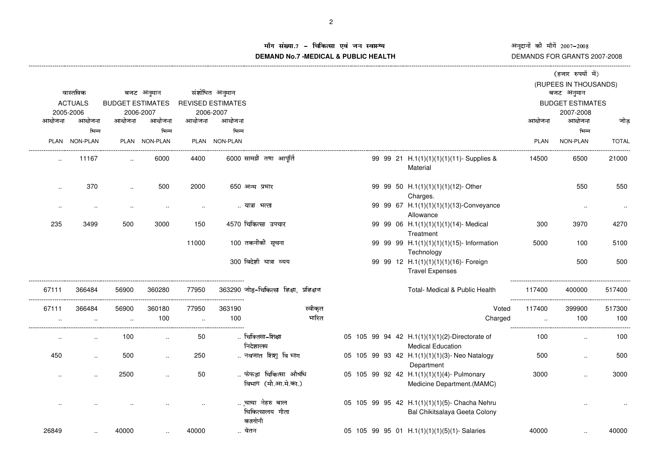अनुदानों की माँगें 2007–2008<br>DEMANDS FOR GRANTS 2007-2008

#### !"#%\$**DEMAND No.7 -MEDICAL & PUBLIC HEALTH**

|           |                      |                         |               |        |                          |                                             |         |  |  |                                                                                |             | (हजार रुपयों में)       |              |
|-----------|----------------------|-------------------------|---------------|--------|--------------------------|---------------------------------------------|---------|--|--|--------------------------------------------------------------------------------|-------------|-------------------------|--------------|
|           |                      |                         |               |        |                          |                                             |         |  |  |                                                                                |             | (RUPEES IN THOUSANDS)   |              |
|           | वास्तविक             |                         | बजट अनुमान    |        | संशोधित अनुमान           |                                             |         |  |  |                                                                                |             | बजट अनुमान              |              |
|           | <b>ACTUALS</b>       | <b>BUDGET ESTIMATES</b> |               |        | <b>REVISED ESTIMATES</b> |                                             |         |  |  |                                                                                |             | <b>BUDGET ESTIMATES</b> |              |
|           | 2005-2006            |                         | 2006-2007     |        | 2006-2007                |                                             |         |  |  |                                                                                |             | 2007-2008               |              |
| आयोजना    | आयोजना               | आयोजना                  | आयोजना        | आयोजना | आयोजना                   |                                             |         |  |  |                                                                                | आयोजना      | आयोजना                  | जोड़         |
|           | भिन्न                |                         | भिन्न         |        | भिन्न                    |                                             |         |  |  |                                                                                |             | भिन्न                   |              |
|           | PLAN NON-PLAN        |                         | PLAN NON-PLAN |        | PLAN NON-PLAN            |                                             |         |  |  |                                                                                | <b>PLAN</b> | NON-PLAN                | <b>TOTAL</b> |
|           | 11167                | $\sim$                  | 6000          | 4400   |                          | 6000 सामग्री तथा आपूर्ति                    |         |  |  | 99 99 21 H.1(1)(1)(1)(1)(11)- Supplies &<br>Material                           | 14500       | 6500                    | 21000        |
| $\ddotsc$ | 370                  |                         | 500           | 2000   |                          | 650 अन्य प्रभार                             |         |  |  | 99 99 50 H.1(1)(1)(1)(1)(12)- Other<br>Charges.                                |             | 550                     | 550          |
| $\cdot$ . | $\sim$               |                         |               |        |                          | यात्रा भत्ता                                |         |  |  | 99 99 67 H.1(1)(1)(1)(1)(13)-Conveyance<br>Allowance                           |             | $\cdots$                | $\cdot\cdot$ |
| 235       | 3499                 | 500                     | 3000          | 150    |                          | 4570 चिकित्सा उपचार                         |         |  |  | 99 99 06 H.1(1)(1)(1)(1)(14)- Medical<br>Treatment                             | 300         | 3970                    | 4270         |
|           |                      |                         |               | 11000  |                          | 100 तकनीकी सूचना                            |         |  |  | 99 99 99 H.1(1)(1)(1)(1)(15)- Information<br>Technology                        | 5000        | 100                     | 5100         |
|           |                      |                         |               |        |                          | 300 विदेशी यात्रा व्यय                      |         |  |  | 99 99 12 H.1(1)(1)(1)(1)(16)- Foreign<br><b>Travel Expenses</b>                |             | 500                     | 500          |
| 67111     | 366484               | 56900                   | 360280        | 77950  |                          | 363290 जोड़-चिकित्सा शिक्षा, प्रशिक्षण      |         |  |  | Total- Medical & Public Health                                                 | 117400      | 400000                  | 517400       |
| 67111     | 366484               | 56900                   | 360180        | 77950  | 363190                   |                                             | स्वीकृत |  |  | Voted                                                                          | 117400      | 399900                  | 517300       |
|           |                      | $\ddot{\phantom{a}}$    | 100           | $\sim$ | 100                      |                                             | भारित   |  |  | Charged                                                                        |             | 100<br>$\cdot$ .        | 100          |
| $\ddotsc$ | $\ddotsc$            | 100                     | $\sim$        | 50     |                          | चिक्तिसा-शिक्षा<br>निदेशालय                 |         |  |  | 05 105 99 94 42 H.1(1)(1)(1)(2)-Directorate of<br><b>Medical Education</b>     | 100         | $\ddotsc$               | 100          |
| 450       | $\ddot{\phantom{a}}$ | 500                     |               | 250    |                          | नवजात शिशु विभाग                            |         |  |  | 05 105 99 93 42 H.1(1)(1)(1)(3)- Neo Natalogy<br>Department                    | 500         |                         | 500          |
| $\ddotsc$ | $\ddotsc$            | 2500                    | $\ddotsc$     | 50     |                          | फेफड़ा चिकित्सा औषधि<br>विभाग (मौ.आ.मे.का.) |         |  |  | 05 105 99 92 42 H.1(1)(1)(1)(4)- Pulmonary<br>Medicine Department.(MAMC)       | 3000        |                         | 3000         |
|           |                      |                         |               |        |                          | चाचा नेहरु बाल<br>चिकित्सालय गीता<br>कालोनी |         |  |  | 05 105 99 95 42 H.1(1)(1)(1)(5)- Chacha Nehru<br>Bal Chikitsalaya Geeta Colony |             |                         |              |
| 26849     |                      | 40000                   |               | 40000  |                          | वेतन                                        |         |  |  | 05 105 99 95 01 H.1(1)(1)(1)(5)(1)-Salaries                                    | 40000       |                         | 40000        |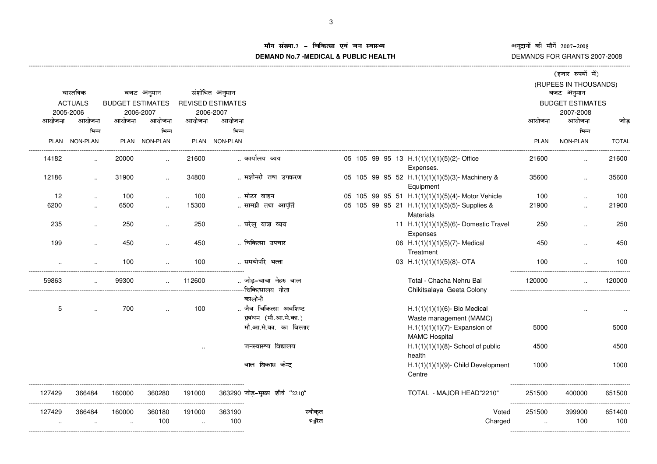ÊËÈËÌÍÎÏÐËÑÒÌÍ <sup>Ó</sup>ÔÔÕÖ <sup>Ó</sup>ÔÔ× DEMANDS FOR GRANTS 2007-2008

#### iग संख्या.7 – चिकित्सा एवं जन स्वास्थ्य<br>IAND N- 7 MEDIOAL & DUDLIOUEALTIL **DEMAND No.7 -MEDICAL & PUBLIC HEALTH**

|        |                        |                         |                      |                |                          |                                |  |  |                                                                   |                       | (हजार रुपयों में)       |               |
|--------|------------------------|-------------------------|----------------------|----------------|--------------------------|--------------------------------|--|--|-------------------------------------------------------------------|-----------------------|-------------------------|---------------|
|        |                        |                         |                      |                |                          |                                |  |  |                                                                   | (RUPEES IN THOUSANDS) |                         |               |
|        | वास्तविक<br>बजट अनुमान |                         |                      | संशोधित अनुमान |                          |                                |  |  |                                                                   | बजट अनुमान            |                         |               |
|        | <b>ACTUALS</b>         | <b>BUDGET ESTIMATES</b> |                      |                | <b>REVISED ESTIMATES</b> |                                |  |  |                                                                   |                       | <b>BUDGET ESTIMATES</b> |               |
|        | 2005-2006              |                         | 2006-2007            |                | 2006-2007                |                                |  |  |                                                                   |                       | 2007-2008<br>आयोजना     |               |
| आयोजना | आयोजना                 | आयोजना                  | आयोजना               | आयोजना         | आयोजना                   |                                |  |  |                                                                   | आयोजना                |                         | जोड           |
|        | भिन्न                  |                         | भिन्न                |                | भिन्न                    |                                |  |  |                                                                   |                       | भिन्न                   |               |
|        | PLAN NON-PLAN          |                         | PLAN NON-PLAN        |                | PLAN NON-PLAN            |                                |  |  |                                                                   | <b>PLAN</b>           | NON-PLAN                | <b>TOTAL</b>  |
| 14182  | $\ldots$               | 20000                   |                      | 21600          |                          | कार्यालय व्यय                  |  |  | 05 105 99 95 13 H.1(1)(1)(1)(5)(2)-Office                         | 21600                 |                         | 21600         |
|        |                        |                         |                      |                |                          |                                |  |  | Expenses.                                                         |                       |                         |               |
| 12186  | $\ddotsc$              | 31900                   | $\ddotsc$            | 34800          |                          | मशीनरी तथा उपकरण               |  |  | 05 105 99 95 52 H.1(1)(1)(1)(5)(3)- Machinery &<br>Equipment      | 35600                 | $\ddotsc$               | 35600         |
| 12     | $\ldots$               | 100                     | $\ddotsc$            | 100            |                          | मोटर वाहन                      |  |  | 05 105 99 95 51 H.1(1)(1)(1)(5)(4)- Motor Vehicle                 | 100                   |                         | 100           |
| 6200   |                        | 6500                    | $\ldots$             | 15300          |                          | सामग्री तथा आपूर्ति            |  |  | 05 105 99 95 21 H.1(1)(1)(1)(5)(5)-Supplies &<br><b>Materials</b> | 21900                 |                         | 21900         |
| 235    | $\ddotsc$              | 250                     | $\ddotsc$            | 250            |                          | घरेलू यात्रा व्यय              |  |  | 11 H.1(1)(1)(1)(5)(6)- Domestic Travel<br>Expenses                | 250                   | $\ddotsc$               | 250           |
| 199    | $\ddot{\phantom{a}}$   | 450                     | $\ddotsc$            | 450            |                          | चिकित्सा उपचार                 |  |  | 06 H.1(1)(1)(1)(5)(7)-Medical<br>Treatment                        | 450                   | $\ddotsc$               | 450           |
|        |                        | 100                     |                      | 100            | _________________        | समयोपरि भत्ता                  |  |  | 03 H.1(1)(1)(1)(5)(8)- OTA                                        | 100                   |                         | 100           |
| 59863  |                        | 99300                   |                      | 112600         |                          | जोड़-चाचा नेहरु बाल            |  |  | Total - Chacha Nehru Bal<br>Chikitsalaya Geeta Colony             | 120000                |                         | 120000        |
|        |                        |                         |                      |                |                          | कालोनी                         |  |  |                                                                   |                       |                         |               |
| 5      | $\ddot{\phantom{a}}$   | 700                     | $\ddot{\phantom{a}}$ | 100            |                          | जैव चिकित्सा अवशिष्ट           |  |  | $H.1(1)(1)(1)(6)$ - Bio Medical                                   |                       |                         |               |
|        |                        |                         |                      |                |                          | प्रबंधन (मौ.आ.मे.का.)          |  |  | Waste management (MAMC)                                           |                       |                         |               |
|        |                        |                         |                      |                |                          | मौ.आ.मे.का. का विस्तार         |  |  | $H.1(1)(1)(1)(7)$ - Expansion of<br><b>MAMC Hospital</b>          | 5000                  |                         | 5000          |
|        |                        |                         |                      |                |                          | जनस्वास्थ्य विद्यालय           |  |  | $H.1(1)(1)(1)(8)$ - School of public<br>health                    | 4500                  |                         | 4500          |
|        |                        |                         |                      |                |                          | बाल विकास केन्द्र              |  |  | $H.1(1)(1)(1)(9)$ - Child Development<br>Centre                   | 1000                  |                         | 1000          |
| 127429 | 366484                 | 160000                  | 360280               | 191000         |                          | 363290 जोड़-मुख्य शीर्ष "2210" |  |  | TOTAL - MAJOR HEAD"2210"                                          | 251500                | 400000                  | 651500        |
| 127429 | 366484                 | 160000                  | 360180<br>100        | 191000         | 363190<br>100            | स्वीकृत<br>भारित               |  |  | Voted<br>Charged                                                  | 251500                | 399900<br>100           | 651400<br>100 |
|        |                        |                         |                      |                |                          |                                |  |  |                                                                   |                       |                         |               |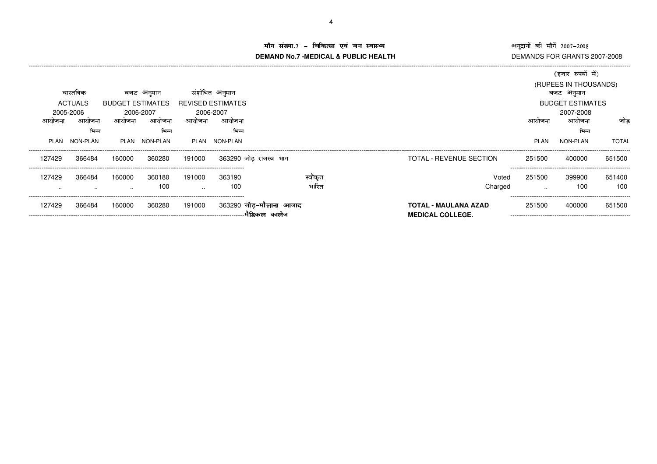अनुदानों की माँगें 2007–2008<br>DEMANDS FOR GRANTS 2007-2008

### ()\*+-.,/)10 <sup>23</sup> 45467,)89-:;9<)<=/>?@**DEMAND No.7 -MEDICAL & PUBLIC HEALTH**

|        |                |                         |               |                          |                |                        |        |                                                        |             | (हजार रुपयों में)       |              |
|--------|----------------|-------------------------|---------------|--------------------------|----------------|------------------------|--------|--------------------------------------------------------|-------------|-------------------------|--------------|
|        |                |                         |               |                          |                |                        |        |                                                        |             | (RUPEES IN THOUSANDS)   |              |
|        | वास्तविक       |                         | बजट अनुमान    |                          | संशोधित अनुमान |                        |        |                                                        |             | बजट अनुमान              |              |
|        | <b>ACTUALS</b> | <b>BUDGET ESTIMATES</b> |               | <b>REVISED ESTIMATES</b> |                |                        |        |                                                        |             | <b>BUDGET ESTIMATES</b> |              |
|        | 2005-2006      |                         | 2006-2007     |                          | 2006-2007      |                        |        |                                                        |             | 2007-2008               |              |
| आयोजना | आयोजना         | आयोजना                  | आयोजना        | आयोजना                   | आयोजना         |                        |        |                                                        | आयाजना      | आयोजना                  | जोड          |
|        | भिन्न          |                         | भिन्न         |                          | भिन्न          |                        |        |                                                        |             | भिन्न                   |              |
|        | PLAN NON-PLAN  |                         | PLAN NON-PLAN |                          | PLAN NON-PLAN  |                        |        |                                                        | <b>PLAN</b> | NON-PLAN                | <b>TOTAL</b> |
| 127429 | 366484         | 160000                  | 360280        | 191000                   |                | 363290 जोड–राजस्व भाग  |        | TOTAL - REVENUE SECTION                                | 251500      | 400000                  | 651500       |
| 127429 | 366484         | 160000                  | 360180        | 191000                   | 363190         |                        | स्वकित | Voted                                                  | 251500      | 399900                  | 651400       |
| . .    | $\sim$         | $\sim$                  | 100           | $\sim$                   | 100            |                        | भारित  | Charged                                                | $\cdot$ .   | 100                     | 100          |
| 127429 | 366484         | 160000                  | 360280        | 191000                   |                | 363290 जोड-मौलाना आजाद |        | <b>TOTAL - MAULANA AZAD</b><br><b>MEDICAL COLLEGE.</b> | 251500      | 400000                  | 651500       |